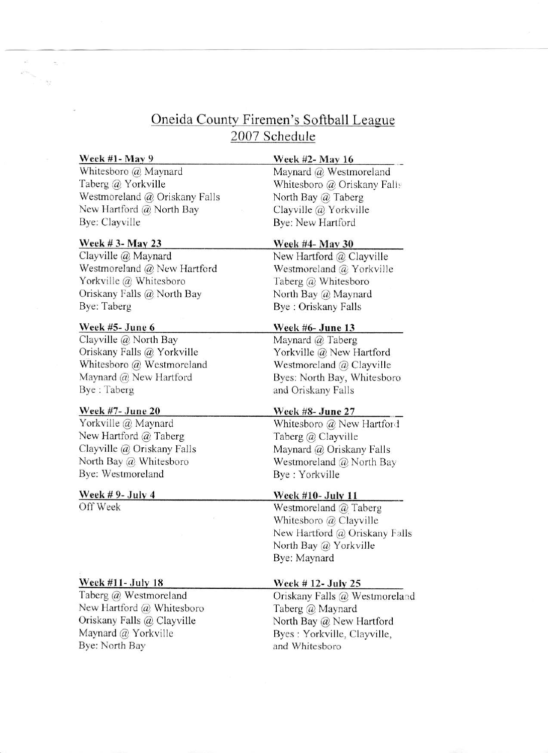# Oneida County Firemen's Softball League 2007 Schedule

#### $\frac{\text{Week #1- May 9}}{\text{Week #2- May 16}}$

 $\mathcal{N}$  .

Whitesboro @ Maynard Taberg @ Yorkville Westmoreland @ Oriskany Falls New Hartford  $@$  North Bay Bye: Clayville

# $\frac{\text{Week # 3- May 23}}{\text{Week #4- May 30}}$

Clayville @ Maynard Westmoreland @ New Hartford Yorkville @ Whitesboro Oriskany Falls @ North Bay Bye: Taberg

## Week #5- June 6

Clayville @ North Bay Oriskany Falls @ Yorkville Whitesboro @ Westmoreland Maynard @ New Hartford Bye : Taberg

## Week #7- June 20 Week #8- June 27

Yorkville @ Maynard New Hartford @ Taberg Clayville @ Oriskany Falls North Bay @ Whitesboro Bye: Westmoreland

#### Week  $# 9$ - July 4

Off Week

# <u>Week #11- July 18</u>

Taberg @ Westmoreland New Hartford @ Whitesboro Oriskany Falls @ Clayville Maynard @ Yorkville Bye: North Bay

Maynard @ Westmoreland Whitesboro @ Oriskany Fali: North Bay @ Taberg Clayville @ Yorkville Bye: New Hartford

Neu Hartford @ Clayville Westmoreland @ Yorkville Taberg @ Whitesboro North Bay @ Maynard Bye : Oriskany Falls

# Week #6- June 13

Maynard @ Taberg Yorkville @ New Hartford Westmoreland @ Clayville Byes: North Bay, Whitesboro and Oriskany Falls

Whitesboro @ New Hartford Taberg @ Clayville Maynard @ Oriskany Falls Westmoreland @ North Bay Bye : Yorkville

### Week #10- Julv 1l

Westmoreland @ Taberg Whitesboro @ Clayville New Hartford @ Oriskany Falls North Bay @ Yorkville Bye: Maynard

### Week # 12- Julv 25

Oriskany Falls @ Westmoreland Taberg @ Maynard North Bay @ New Hartford Byes : Yorkville, Clayville, and Whitesboro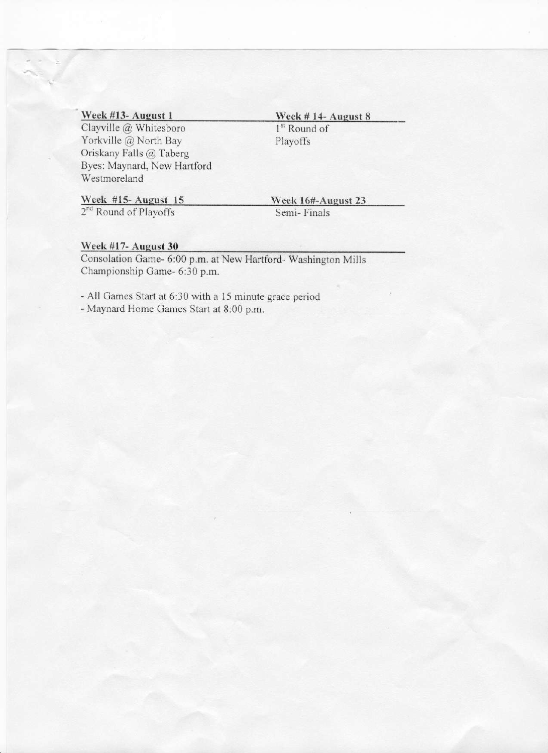Clayville @ Whitesboro Yorkville @ North Bay Oriskany Falls @ Taberg Byes: Maynard, New Hartford Westmoreland

# Week #13- August 1 Week # 14- August 8 1<sup>st</sup> Round of

Playoffs

2<sup>nd</sup> Round of Playoffs Semi- Finals

Week #15- August 15 Week 16#-August 23

### Week #17- August 30

Consolation Game- 6:00 p.m. at New Hartford- Washington Mills Championship Game- 6:30 p.m.

- All Games Start at 6:30 with a 15 minute grace period - Maynard Home Games Start at 8:00 p.m.